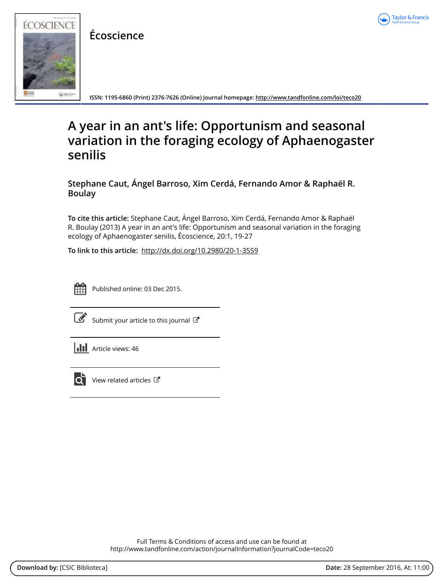

**Écoscience**



**ISSN: 1195-6860 (Print) 2376-7626 (Online) Journal homepage:<http://www.tandfonline.com/loi/teco20>**

# **A year in an ant's life: Opportunism and seasonal variation in the foraging ecology of Aphaenogaster senilis**

**Stephane Caut, Ángel Barroso, Xim Cerdá, Fernando Amor & Raphaël R. Boulay**

**To cite this article:** Stephane Caut, Ángel Barroso, Xim Cerdá, Fernando Amor & Raphaël R. Boulay (2013) A year in an ant's life: Opportunism and seasonal variation in the foraging ecology of Aphaenogaster senilis, Écoscience, 20:1, 19-27

**To link to this article:** <http://dx.doi.org/10.2980/20-1-3559>



Published online: 03 Dec 2015.

| I |
|---|
|   |

[Submit your article to this journal](http://www.tandfonline.com/action/authorSubmission?journalCode=teco20&show=instructions)  $\mathbb{Z}$ 

| <b>III</b> Article views: 46 |
|------------------------------|
|                              |



 $\overline{Q}$  [View related articles](http://www.tandfonline.com/doi/mlt/10.2980/20-1-3559)  $\mathbb{Z}$ 

Full Terms & Conditions of access and use can be found at <http://www.tandfonline.com/action/journalInformation?journalCode=teco20>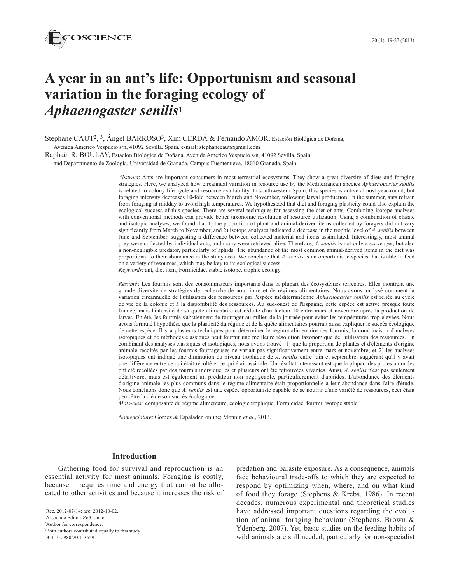# **A year in an ant's life: Opportunism and seasonal variation in the foraging ecology of**  *Aphaenogaster senilis***<sup>1</sup>**

Stephane CAUT<sup>2</sup>, <sup>3</sup>, Ángel BARROSO<sup>3</sup>, Xim CERDÁ & Fernando AMOR, Estación Biológica de Doñana,

Avenida Americo Vespucio s/n, 41092 Sevilla, Spain, e-mail: stephanecaut@gmail.com

Raphaël R. BOULAY, Estación Biológica de Doñana, Avenida Americo Vespucio s/n, 41092 Sevilla, Spain,

and Departamento de Zoología, Universidad de Granada, Campus Fuentenueva, 18010 Granada, Spain.

*Abstract*: Ants are important consumers in most terrestrial ecosystems. They show a great diversity of diets and foraging strategies. Here, we analyzed how circannual variation in resource use by the Mediterranean species *Aphaenogaster senilis* is related to colony life cycle and resource availability. In southwestern Spain, this species is active almost year-round, but foraging intensity decreases 10-fold between March and November, following larval production. In the summer, ants refrain from foraging at midday to avoid high temperatures. We hypothesized that diet and foraging plasticity could also explain the ecological success of this species. There are several techniques for assessing the diet of ants. Combining isotope analyses with conventional methods can provide better taxonomic resolution of resource utilization. Using a combination of classic and isotopic analyses, we found that 1) the proportion of plant and animal-derived items collected by foragers did not vary significantly from March to November, and 2) isotope analyses indicated a decrease in the trophic level of *A. senilis* between June and September, suggesting a difference between collected material and items assimilated. Interestingly, most animal prey were collected by individual ants, and many were retrieved alive. Therefore, *A. senilis* is not only a scavenger, but also a non-negligible predator, particularly of aphids. The abundance of the most common animal-derived items in the diet was proportional to their abundance in the study area. We conclude that *A. senilis* is an opportunistic species that is able to feed on a variety of resources, which may be key to its ecological success.

*Keywords*: ant, diet item, Formicidae, stable isotope, trophic ecology.

*Résumé* : Les fourmis sont des consommateurs importants dans la plupart des écosystèmes terrestres. Elles montrent une grande diversité de stratégies de recherche de nourriture et de régimes alimentaires. Nous avons analysé comment la variation circannuelle de l'utilisation des ressources par l'espèce méditerranéenne *Aphaenogaster senilis* est reliée au cycle de vie de la colonie et à la disponibilité des ressources. Au sud-ouest de l'Espagne, cette espèce est active presque toute l'année, mais l'intensité de sa quête alimentaire est réduite d'un facteur 10 entre mars et novembre après la production de larves. En été, les fourmis s'abstiennent de fourrager au milieu de la journée pour éviter les températures trop élevées. Nous avons formulé l'hypothèse que la plasticité du régime et de la quête alimentaires pourrait aussi expliquer le succès écologique de cette espèce. Il y a plusieurs techniques pour déterminer le régime alimentaire des fourmis; la combinaison d'analyses isotopiques et de méthodes classiques peut fournir une meilleure résolution taxonomique de l'utilisation des ressources. En combinant des analyses classiques et isotopiques, nous avons trouvé : 1) que la proportion de plantes et d'éléments d'origine animale récoltés par les fourmis fourrageuses ne variait pas significativement entre mars et novembre; et 2) les analyses isotopiques ont indiqué une diminution du niveau trophique de *A. senilis* entre juin et septembre, suggérant qu'il y avait une différence entre ce qui était récolté et ce qui était assimilé. Un résultat intéressant est que la plupart des proies animales ont été récoltées par des fourmis individuelles et plusieurs ont été retrouvées vivantes. Ainsi, *A. senilis* n'est pas seulement détritivore, mais est également un prédateur non négligeable, particulièrement d'aphidés. L'abondance des éléments d'origine animale les plus communs dans le régime alimentaire était proportionnelle à leur abondance dans l'aire d'étude. Nous concluons donc que *A. senilis* est une espèce opportuniste capable de se nourrir d'une variété de ressources, ceci étant peut-être la clé de son succès écologique.

*Mots-clés*: composante du régime alimentaire, écologie trophique, Formicidae, fourmi, isotope stable.

*Nomenclature*: Gomez & Espalader, online; Monnin *et al*., 2013.

#### **Introduction**

Gathering food for survival and reproduction is an essential activity for most animals. Foraging is costly, because it requires time and energy that cannot be allocated to other activities and because it increases the risk of

1Rec. 2012-07-14; acc. 2012-10-02. Associate Editor: Zoë Lindo.

2Author for correspondence.

3Both authors contributed equally to this study.

DOI 10.2980/20-1-3559

predation and parasite exposure. As a consequence, animals face behavioural trade-offs to which they are expected to respond by optimizing when, where, and on what kind of food they forage (Stephens & Krebs, 1986). In recent decades, numerous experimental and theoretical studies have addressed important questions regarding the evolution of animal foraging behaviour (Stephens, Brown & Ydenberg, 2007). Yet, basic studies on the feeding habits of wild animals are still needed, particularly for non-specialist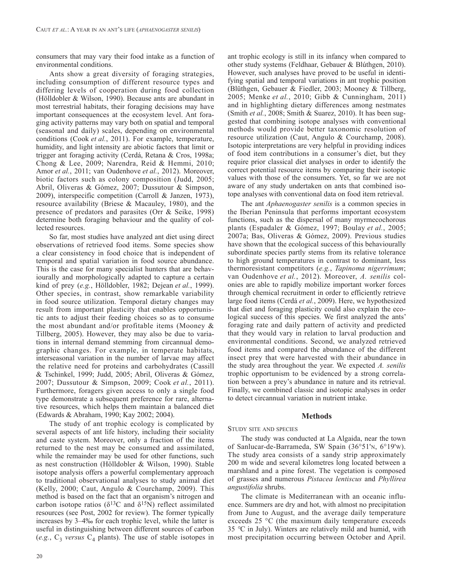consumers that may vary their food intake as a function of environmental conditions.

Ants show a great diversity of foraging strategies, including consumption of different resource types and differing levels of cooperation during food collection (Hölldobler & Wilson, 1990). Because ants are abundant in most terrestrial habitats, their foraging decisions may have important consequences at the ecosystem level. Ant foraging activity patterns may vary both on spatial and temporal (seasonal and daily) scales, depending on environmental conditions (Cook *et al.*, 2011). For example, temperature, humidity, and light intensity are abiotic factors that limit or trigger ant foraging activity (Cerdá, Retana & Cros, 1998a; Chong & Lee, 2009; Narendra, Reid & Hemmi, 2010; Amor *et al.*, 2011; van Oudenhove *et al.*, 2012). Moreover, biotic factors such as colony composition (Judd, 2005; Abril, Oliveras & Gómez, 2007; Dussutour & Simpson, 2009), interspecific competition (Carroll & Janzen, 1973), resource availability (Briese & Macauley, 1980), and the presence of predators and parasites (Orr & Seike, 1998) determine both foraging behaviour and the quality of collected resources.

So far, most studies have analyzed ant diet using direct observations of retrieved food items. Some species show a clear consistency in food choice that is independent of temporal and spatial variation in food source abundance. This is the case for many specialist hunters that are behaviourally and morphologically adapted to capture a certain kind of prey (*e.g.*, Hölldobler, 1982; Dejean *et al.*, 1999). Other species, in contrast, show remarkable variability in food source utilization. Temporal dietary changes may result from important plasticity that enables opportunistic ants to adjust their feeding choices so as to consume the most abundant and/or profitable items (Mooney  $\&$ Tillberg, 2005). However, they may also be due to variations in internal demand stemming from circannual demographic changes. For example, in temperate habitats, interseasonal variation in the number of larvae may affect the relative need for proteins and carbohydrates (Cassill & Tschinkel, 1999; Judd, 2005; Abril, Oliveras & Gómez, 2007; Dussutour & Simpson, 2009; Cook *et al.*, 2011). Furthermore, foragers given access to only a single food type demonstrate a subsequent preference for rare, alternative resources, which helps them maintain a balanced diet (Edwards & Abraham, 1990; Kay 2002; 2004).

The study of ant trophic ecology is complicated by several aspects of ant life history, including their sociality and caste system. Moreover, only a fraction of the items returned to the nest may be consumed and assimilated, while the remainder may be used for other functions, such as nest construction (Hölldobler & Wilson, 1990). Stable isotope analysis offers a powerful complementary approach to traditional observational analyses to study animal diet (Kelly, 2000; Caut, Angulo & Courchamp, 2009). This method is based on the fact that an organism's nitrogen and carbon isotope ratios ( $\delta^{13}$ C and  $\delta^{15}$ N) reflect assimilated resources (see Post, 2002 for review). The former typically increases by 3–4‰ for each trophic level, while the latter is useful in distinguishing between different sources of carbon (*e.g.*,  $C_3$  *versus*  $C_4$  plants). The use of stable isotopes in

other study systems (Feldhaar, Gebauer & Blúthgen, 2010). However, such analyses have proved to be useful in identifying spatial and temporal variations in ant trophic position (Blüthgen, Gebauer & Fiedler, 2003; Mooney & Tillberg, 2005; Menke *et al.*, 2010; Gibb & Cunningham, 2011) and in highlighting dietary differences among nestmates (Smith *et al.*, 2008; Smith & Suarez, 2010). It has been suggested that combining isotope analyses with conventional methods would provide better taxonomic resolution of resource utilization (Caut, Angulo & Courchamp, 2008). Isotopic interpretations are very helpful in providing indices of food item contributions in a consumer's diet, but they require prior classical diet analyses in order to identify the correct potential resource items by comparing their isotopic values with those of the consumers. Yet, so far we are not aware of any study undertaken on ants that combined isotope analyses with conventional data on food item retrieval. The ant *Aphaenogaster senilis* is a common species in

ant trophic ecology is still in its infancy when compared to

the Iberian Peninsula that performs important ecosystem functions, such as the dispersal of many myrmecochorous plants (Espadaler & Gómez, 1997; Boulay *et al.*, 2005; 2007a; Bas, Oliveras & Gómez, 2009). Previous studies have shown that the ecological success of this behaviourally subordinate species partly stems from its relative tolerance to high ground temperatures in contrast to dominant, less thermoresistant competitors (*e.g.*, *Tapinoma nigerrimum*; van Oudenhove *et al.*, 2012). Moreover, *A. senilis* colonies are able to rapidly mobilize important worker forces through chemical recruitment in order to efficiently retrieve large food items (Cerdá *et al.*, 2009). Here, we hypothesized that diet and foraging plasticity could also explain the ecological success of this species. We first analyzed the ants' foraging rate and daily pattern of activity and predicted that they would vary in relation to larval production and environmental conditions. Second, we analyzed retrieved food items and compared the abundance of the different insect prey that were harvested with their abundance in the study area throughout the year. We expected *A. senilis* trophic opportunism to be evidenced by a strong correlation between a prey's abundance in nature and its retrieval. Finally, we combined classic and isotopic analyses in order to detect circannual variation in nutrient intake.

# **Methods**

# Study site and species

The study was conducted at La Algaida, near the town of Sanlucar-de-Barrameda, SW Spain (36°51'n, 6°19'w). The study area consists of a sandy strip approximately 200 m wide and several kilometres long located between a marshland and a pine forest. The vegetation is composed of grasses and numerous *Pistacea lentiscus* and *Phyllirea angustifolia* shrubs.

The climate is Mediterranean with an oceanic influence. Summers are dry and hot, with almost no precipitation from June to August, and the average daily temperature exceeds 25 °C (the maximum daily temperature exceeds 35 *°*C in July). Winters are relatively mild and humid, with most precipitation occurring between October and April.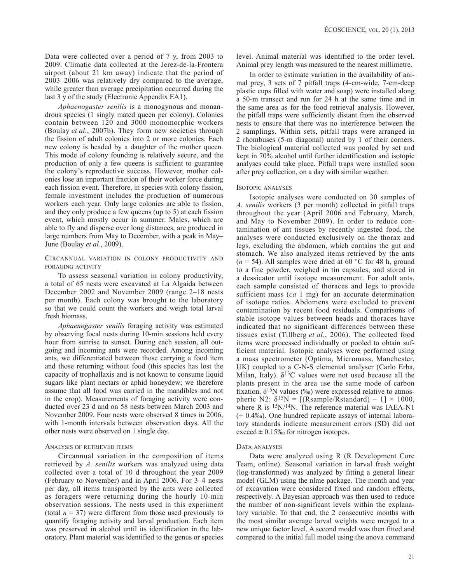Data were collected over a period of 7 y, from 2003 to 2009. Climatic data collected at the Jerez-de-la-Frontera airport (about 21 km away) indicate that the period of 2003–2006 was relatively dry compared to the average, while greater than average precipitation occurred during the last 3 y of the study (Electronic Appendix EA1).

*Aphaenogaster senilis* is a monogynous and monandrous species (1 singly mated queen per colony). Colonies contain between 120 and 3000 monomorphic workers (Boulay *et al.*, 2007b). They form new societies through the fission of adult colonies into 2 or more colonies. Each new colony is headed by a daughter of the mother queen. This mode of colony founding is relatively secure, and the production of only a few queens is sufficient to guarantee the colony's reproductive success. However, mother colonies lose an important fraction of their worker force during each fission event. Therefore, in species with colony fission, female investment includes the production of numerous workers each year. Only large colonies are able to fission, and they only produce a few queens (up to 5) at each fission event, which mostly occur in summer. Males, which are able to fly and disperse over long distances, are produced in large numbers from May to December, with a peak in May– June (Boulay *et al.*, 2009).

# Circannual variation in colony productivity and foraging activity

To assess seasonal variation in colony productivity, a total of 65 nests were excavated at La Algaida between December 2002 and November 2009 (range 2–18 nests per month). Each colony was brought to the laboratory so that we could count the workers and weigh total larval fresh biomass.

*Aphaenogaster senilis* foraging activity was estimated by observing focal nests during 10-min sessions held every hour from sunrise to sunset. During each session, all outgoing and incoming ants were recorded. Among incoming ants, we differentiated between those carrying a food item and those returning without food (this species has lost the capacity of trophallaxis and is not known to consume liquid sugars like plant nectars or aphid honeydew; we therefore assume that all food was carried in the mandibles and not in the crop). Measurements of foraging activity were conducted over 23 d and on 58 nests between March 2003 and November 2009. Four nests were observed 8 times in 2006, with 1-month intervals between observation days. All the other nests were observed on 1 single day.

# Analysis of retrieved items

Circannual variation in the composition of items retrieved by *A. senilis* workers was analyzed using data collected over a total of 10 d throughout the year 2009 (February to November) and in April 2006. For 3–4 nests per day, all items transported by the ants were collected as foragers were returning during the hourly 10-min observation sessions. The nests used in this experiment (total  $n = 37$ ) were different from those used previously to quantify foraging activity and larval production. Each item was preserved in alcohol until its identification in the laboratory. Plant material was identified to the genus or species level. Animal material was identified to the order level. Animal prey length was measured to the nearest millimetre.

In order to estimate variation in the availability of animal prey, 3 sets of 7 pitfall traps (4-cm-wide, 7-cm-deep plastic cups filled with water and soap) were installed along a 50-m transect and run for 24 h at the same time and in the same area as for the food retrieval analysis. However, the pitfall traps were sufficiently distant from the observed nests to ensure that there was no interference between the 2 samplings. Within sets, pitfall traps were arranged in 2 rhombuses (5-m diagonal) united by 1 of their corners. The biological material collected was pooled by set and kept in 70% alcohol until further identification and isotopic analyses could take place. Pitfall traps were installed soon after prey collection, on a day with similar weather.

# Isotopic analyses

Isotopic analyses were conducted on 30 samples of *A. senilis* workers (3 per month) collected in pitfall traps throughout the year (April 2006 and February, March, and May to November 2009). In order to reduce contamination of ant tissues by recently ingested food, the analyses were conducted exclusively on the thorax and legs, excluding the abdomen, which contains the gut and stomach. We also analyzed items retrieved by the ants  $(n = 54)$ . All samples were dried at 60 °C for 48 h, ground to a fine powder, weighed in tin capsules, and stored in a dessicator until isotope measurement. For adult ants, each sample consisted of thoraces and legs to provide sufficient mass (*ca* 1 mg) for an accurate determination of isotope ratios. Abdomens were excluded to prevent contamination by recent food residuals. Comparisons of stable isotope values between heads and thoraces have indicated that no significant differences between these tissues exist (Tillberg *et al.*, 2006). The collected food items were processed individually or pooled to obtain sufficient material. Isotopic analyses were performed using a mass spectrometer (Optima, Micromass, Manchester, UK) coupled to a C-N-S elemental analyser (Carlo Erba, Milan, Italy).  $\delta^{13}$ C values were not used because all the plants present in the area use the same mode of carbon fixation.  $\delta^{15}N$  values (‰) were expressed relative to atmospheric N2:  $\delta^{15}N = [(Rsample/Rstandard) - 1] \times 1000$ , where R is  $15N/14N$ . The reference material was IAEA-N1 (+ 0.4‰). One hundred replicate assays of internal laboratory standards indicate measurement errors (SD) did not exceed  $\pm$  0.15‰ for nitrogen isotopes.

#### DATA ANALYSES

Data were analyzed using R (R Development Core Team, online). Seasonal variation in larval fresh weight (log-transformed) was analyzed by fitting a general linear model (GLM) using the nlme package. The month and year of excavation were considered fixed and random effects, respectively. A Bayesian approach was then used to reduce the number of non-significant levels within the explanatory variable. To that end, the 2 consecutive months with the most similar average larval weights were merged to a new unique factor level. A second model was then fitted and compared to the initial full model using the anova command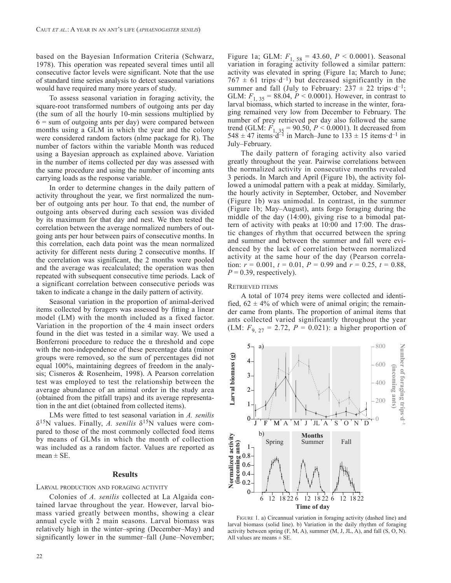based on the Bayesian Information Criteria (Schwarz, 1978). This operation was repeated several times until all consecutive factor levels were significant. Note that the use of standard time series analysis to detect seasonal variations would have required many more years of study.

To assess seasonal variation in foraging activity, the square-root transformed numbers of outgoing ants per day (the sum of all the hourly 10-min sessions multiplied by  $6 =$  sum of outgoing ants per day) were compared between months using a GLM in which the year and the colony were considered random factors (nlme package for R). The number of factors within the variable Month was reduced using a Bayesian approach as explained above. Variation in the number of items collected per day was assessed with the same procedure and using the number of incoming ants carrying loads as the response variable.

In order to determine changes in the daily pattern of activity throughout the year, we first normalized the number of outgoing ants per hour. To that end, the number of outgoing ants observed during each session was divided by its maximum for that day and nest. We then tested the correlation between the average normalized numbers of outgoing ants per hour between pairs of consecutive months. In this correlation, each data point was the mean normalized activity for different nests during 2 consecutive months. If the correlation was significant, the 2 months were pooled and the average was recalculated; the operation was then repeated with subsequent consecutive time periods. Lack of a significant correlation between consecutive periods was taken to indicate a change in the daily pattern of activity.

Seasonal variation in the proportion of animal-derived items collected by foragers was assessed by fitting a linear model (LM) with the month included as a fixed factor. Variation in the proportion of the 4 main insect orders found in the diet was tested in a similar way. We used a Bonferroni procedure to reduce the α threshold and cope with the non-independence of these percentage data (minor groups were removed, so the sum of percentages did not equal 100%, maintaining degrees of freedom in the analysis; Cisneros & Rosenheim, 1998). A Pearson correlation test was employed to test the relationship between the average abundance of an animal order in the study area (obtained from the pitfall traps) and its average representation in the ant diet (obtained from collected items).

LMs were fitted to test seasonal variation in *A. senilis*  $\delta^{15}$ N values. Finally, *A. senilis*  $\delta^{15}$ N values were compared to those of the most commonly collected food items by means of GLMs in which the month of collection was included as a random factor. Values are reported as  $mean \pm SE$ .

### **Results**

#### larval production and foraging activity

Colonies of *A. senilis* collected at La Algaida contained larvae throughout the year. However, larval biomass varied greatly between months, showing a clear annual cycle with 2 main seasons. Larval biomass was relatively high in the winter–spring (December–May) and significantly lower in the summer–fall (June–November;

Figure 1a; GLM: *F*1, 58 = 43.60, *P* < 0.0001). Seasonal variation in foraging activity followed a similar pattern: activity was elevated in spring (Figure 1a; March to June;  $767 \pm 61$  trips d<sup>-1</sup>) but decreased significantly in the summer and fall (July to February:  $237 \pm 22$  trips d<sup>-1</sup>; GLM:  $F_{1, 35} = 88.04, P < 0.0001$ ). However, in contrast to larval biomass, which started to increase in the winter, foraging remained very low from December to February. The number of prey retrieved per day also followed the same trend (GLM:  $F_{1, 35} = 90.50, P < 0.0001$ ). It decreased from  $548 \pm 47$  items  $d^{-1}$  in March–June to  $133 \pm 15$  items  $d^{-1}$  in July–February.

The daily pattern of foraging activity also varied greatly throughout the year. Pairwise correlations between the normalized activity in consecutive months revealed 3 periods. In March and April (Figure 1b), the activity followed a unimodal pattern with a peak at midday. Similarly, the hourly activity in September, October, and November (Figure 1b) was unimodal. In contrast, in the summer (Figure 1b; May–August), ants forgo foraging during the middle of the day (14:00), giving rise to a bimodal pattern of activity with peaks at 10:00 and 17:00. The drastic changes of rhythm that occurred between the spring and summer and between the summer and fall were evidenced by the lack of correlation between normalized activity at the same hour of the day (Pearson correlation:  $r = 0.001$ ,  $t = 0.01$ ,  $P = 0.99$  and  $r = 0.25$ ,  $t = 0.88$ ,  $P = 0.39$ , respectively).

#### RETRIEVED ITEMS

A total of 1074 prey items were collected and identified,  $62 \pm 4\%$  of which were of animal origin; the remainder came from plants. The proportion of animal items that ants collected varied significantly throughout the year (LM:  $F_{9, 27} = 2.72$ ,  $P = 0.021$ ): a higher proportion of



figure 1. a) Circannual variation in foraging activity (dashed line) and larval biomass (solid line). b) Variation in the daily rhythm of foraging activity between spring  $(F, M, A)$ , summer  $(M, J, JL, A)$ , and fall  $(S, O, N)$ . All values are means  $\pm$  SE.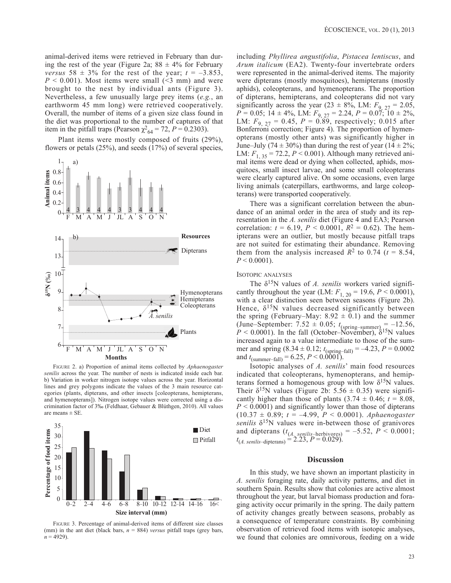animal-derived items were retrieved in February than during the rest of the year (Figure 2a;  $88 \pm 4\%$  for February *versus*  $58 \pm 3\%$  for the rest of the year;  $t = -3.853$ ,  $P \le 0.001$ ). Most items were small ( $\le 3$  mm) and were brought to the nest by individual ants (Figure 3). Nevertheless, a few unusually large prey items (*e.g.*, an earthworm 45 mm long) were retrieved cooperatively. Overall, the number of items of a given size class found in the diet was proportional to the number of captures of that item in the pitfall traps (Pearson  $\chi^2_{64} = 72$ ,  $P = 0.2303$ ).

Plant items were mostly composed of fruits (29%), flowers or petals (25%), and seeds (17%) of several species,



figure 2. a) Proportion of animal items collected by *Aphaenogaster senilis* across the year. The number of nests is indicated inside each bar. b) Variation in worker nitrogen isotope values across the year. Horizontal lines and grey polygons indicate the values of the 3 main resource categories (plants, dipterans, and other insects [coleopterans, hemipterans, and hymenopterans]). Nitrogen isotope values were corrected using a discrimination factor of 3‰ (Feldhaar, Gebauer & Blúthgen, 2010). All values are means  $\pm$  SE.



figure 3. Percentage of animal-derived items of different size classes (mm) in the ant diet (black bars,  $n = 884$ ) *versus* pitfall traps (grey bars,  $n = 4929$ 

including *Phyllirea angustifolia*, *Pistacea lentiscus*, and *Arum italicum* (EA2). Twenty-four invertebrate orders were represented in the animal-derived items. The majority were dipterans (mostly mosquitoes), hemipterans (mostly aphids), coleopterans, and hymenopterans. The proportion of dipterans, hemipterans, and coleopterans did not vary significantly across the year (23  $\pm$  8%, LM:  $F_{9, 27} = 2.05$ ,  $P = 0.05$ ; 14 ± 4%, LM:  $F_{9, 27} = 2.24$ ,  $P = 0.07$ ; 10 ± 2%, LM:  $F_{9, 27} = 0.45, P = 0.89$ , respectively; 0.015 after Bonferroni correction; Figure 4). The proportion of hymenopterans (mostly other ants) was significantly higher in June–July (74  $\pm$  30%) than during the rest of year (14  $\pm$  2%; LM:  $F_{1, 35} = 72.2, P < 0.001$ ). Although many retrieved animal items were dead or dying when collected, aphids, mosquitoes, small insect larvae, and some small coleopterans were clearly captured alive. On some occasions, even large living animals (caterpillars, earthworms, and large coleopterans) were transported cooperatively.

There was a significant correlation between the abundance of an animal order in the area of study and its representation in the *A. senilis* diet (Figure 4 and EA3; Pearson correlation:  $t = 6.19$ ,  $P < 0.0001$ ,  $R^2 = 0.62$ ). The hemipterans were an outlier, but mostly because pitfall traps are not suited for estimating their abundance. Removing them from the analysis increased  $R^2$  to 0.74 ( $t = 8.54$ ,  $P < 0.0001$ ).

### ISOTOPIC ANALYSES

The  $\delta^{15}N$  values of *A. senilis* workers varied significantly throughout the year (LM:  $F_{1, 20} = 19.6, P < 0.0001$ ), with a clear distinction seen between seasons (Figure 2b). Hence,  $\delta^{15}$ N values decreased significantly between the spring (February–May:  $8.92 \pm 0.1$ ) and the summer (June–September: 7.52  $\pm$  0.05;  $t_{\text{(spring-summer)}} = -12.56$ ,  $P < 0.0001$ ). In the fall (October–November),  $\delta^{15}$ N values increased again to a value intermediate to those of the summer and spring  $(8.34 \pm 0.12; t_{\text{(spring-fall)}} = -4.23, P = 0.0002$ and  $t_{\text{(summer-fall)}} = 6.25, P \le 0.0001$ ).

Isotopic analyses of *A. senilis*' main food resources indicated that coleopterans, hymenopterans, and hemipterans formed a homogenous group with low  $\delta^{15}N$  values. Their  $\delta^{15}$ N values (Figure 2b: 5.56  $\pm$  0.35) were significantly higher than those of plants  $(3.74 \pm 0.46; t = 8.08)$ , *P* < 0.0001) and significantly lower than those of dipterans (10.37 ± 0.89; *t* = –4.99, *P* < 0.0001). *Aphaenogaster senilis* δ15N values were in-between those of granivores and dipterans  $(t_{(A_1, semi) } = -5.52, P < 0.0001;$  $t_{(A. \, semilis-dipterans)} = 2.23, P = 0.029).$ 

# **Discussion**

In this study, we have shown an important plasticity in *A. senilis* foraging rate, daily activity patterns, and diet in southern Spain. Results show that colonies are active almost throughout the year, but larval biomass production and foraging activity occur primarily in the spring. The daily pattern of activity changes greatly between seasons, probably as a consequence of temperature constraints. By combining observation of retrieved food items with isotopic analyses, we found that colonies are omnivorous, feeding on a wide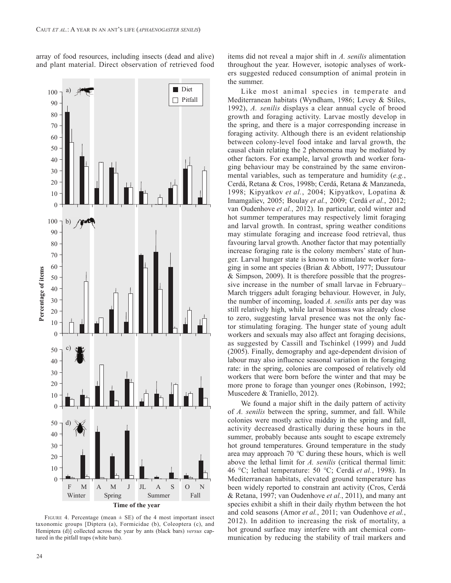array of food resources, including insects (dead and alive) and plant material. Direct observation of retrieved food



FIGURE 4. Percentage (mean  $\pm$  SE) of the 4 most important insect taxonomic groups [Diptera (a), Formicidae (b), Coleoptera (c), and Hemiptera (d)] collected across the year by ants (black bars) *versus* captured in the pitfall traps (white bars).

items did not reveal a major shift in *A. senilis* alimentation throughout the year. However, isotopic analyses of workers suggested reduced consumption of animal protein in the summer.

Like most animal species in temperate and Mediterranean habitats (Wyndham, 1986; Levey & Stiles, 1992), *A. senilis* displays a clear annual cycle of brood growth and foraging activity. Larvae mostly develop in the spring, and there is a major corresponding increase in foraging activity. Although there is an evident relationship between colony-level food intake and larval growth, the causal chain relating the 2 phenomena may be mediated by other factors. For example, larval growth and worker foraging behaviour may be constrained by the same environmental variables, such as temperature and humidity (*e.g.*, Cerdá, Retana & Cros, 1998b; Cerdá, Retana & Manzaneda, 1998; Kipyatkov *et al.*, 2004; Kipyatkov, Lopatina & Imamgaliev, 2005; Boulay *et al.*, 2009; Cerdá *et al.*, 2012; van Oudenhove *et al.*, 2012). In particular, cold winter and hot summer temperatures may respectively limit foraging and larval growth. In contrast, spring weather conditions may stimulate foraging and increase food retrieval, thus favouring larval growth. Another factor that may potentially increase foraging rate is the colony members' state of hunger. Larval hunger state is known to stimulate worker foraging in some ant species (Brian & Abbott, 1977; Dussutour & Simpson, 2009). It is therefore possible that the progressive increase in the number of small larvae in February– March triggers adult foraging behaviour. However, in July, the number of incoming, loaded *A. senilis* ants per day was still relatively high, while larval biomass was already close to zero, suggesting larval presence was not the only factor stimulating foraging. The hunger state of young adult workers and sexuals may also affect ant foraging decisions, as suggested by Cassill and Tschinkel (1999) and Judd (2005). Finally, demography and age-dependent division of labour may also influence seasonal variation in the foraging rate: in the spring, colonies are composed of relatively old workers that were born before the winter and that may be more prone to forage than younger ones (Robinson, 1992; Muscedere & Traniello, 2012).

We found a major shift in the daily pattern of activity of *A. senilis* between the spring, summer, and fall. While colonies were mostly active midday in the spring and fall, activity decreased drastically during these hours in the summer, probably because ants sought to escape extremely hot ground temperatures. Ground temperature in the study area may approach 70 *°*C during these hours, which is well above the lethal limit for *A. senilis* (critical thermal limit: 46 °C; lethal temperature: 50 *°*C; Cerdá *et al.*, 1998). In Mediterranean habitats, elevated ground temperature has been widely reported to constrain ant activity (Cros, Cerdá & Retana, 1997; van Oudenhove *et al.*, 2011), and many ant species exhibit a shift in their daily rhythm between the hot and cold seasons (Amor *et al.*, 2011; van Oudenhove *et al.*, 2012). In addition to increasing the risk of mortality, a hot ground surface may interfere with ant chemical communication by reducing the stability of trail markers and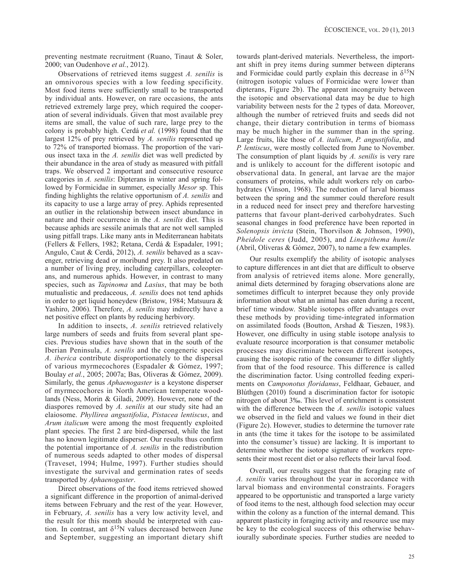preventing nestmate recruitment (Ruano, Tinaut & Soler, 2000; van Oudenhove *et al.*, 2012).

Observations of retrieved items suggest *A. senilis* is an omnivorous species with a low feeding specificity. Most food items were sufficiently small to be transported by individual ants. However, on rare occasions, the ants retrieved extremely large prey, which required the cooperation of several individuals. Given that most available prey items are small, the value of such rare, large prey to the colony is probably high. Cerdá *et al.* (1998) found that the largest 12% of prey retrieved by *A. senilis* represented up to 72% of transported biomass. The proportion of the various insect taxa in the *A. senilis* diet was well predicted by their abundance in the area of study as measured with pitfall traps. We observed 2 important and consecutive resource categories in *A. senilis*: Dipterans in winter and spring followed by Formicidae in summer, especially *Mesor* sp. This finding highlights the relative opportunism of *A. senilis* and its capacity to use a large array of prey. Aphids represented an outlier in the relationship between insect abundance in nature and their occurrence in the *A. senilis* diet. This is because aphids are sessile animals that are not well sampled using pitfall traps. Like many ants in Mediterranean habitats (Fellers & Fellers, 1982; Retana, Cerdá & Espadaler, 1991; Angulo, Caut & Cerdá, 2012), *A. senilis* behaved as a scavenger, retrieving dead or moribund prey. It also predated on a number of living prey, including caterpillars, coleopterans, and numerous aphids. However, in contrast to many species, such as *Tapinoma* and *Lasius*, that may be both mutualistic and predaceous, *A. senilis* does not tend aphids in order to get liquid honeydew (Bristow, 1984; Matsuura & Yashiro, 2006). Therefore, *A. senilis* may indirectly have a net positive effect on plants by reducing herbivory.

In addition to insects, *A. senilis* retrieved relatively large numbers of seeds and fruits from several plant species. Previous studies have shown that in the south of the Iberian Peninsula, *A. senilis* and the congeneric species *A. iberica* contribute disproportionately to the dispersal of various myrmecochores (Espadaler & Gómez, 1997; Boulay *et al.*, 2005; 2007a; Bas, Oliveras & Gómez, 2009). Similarly, the genus *Aphaenogaster* is a keystone disperser of myrmecochores in North American temperate woodlands (Ness, Morin & Giladi, 2009). However, none of the diaspores removed by *A. senilis* at our study site had an elaiosome. *Phyllirea angustifolia*, *Pistacea lentiscus*, and *Arum italicum* were among the most frequently exploited plant species. The first 2 are bird-dispersed, while the last has no known legitimate disperser. Our results thus confirm the potential importance of *A. senilis* in the redistribution of numerous seeds adapted to other modes of dispersal (Traveset, 1994; Hulme, 1997). Further studies should investigate the survival and germination rates of seeds transported by *Aphaenogaster*.

Direct observations of the food items retrieved showed a significant difference in the proportion of animal-derived items between February and the rest of the year. However, in February, *A. senilis* has a very low activity level, and the result for this month should be interpreted with caution. In contrast, ant  $\delta^{15}N$  values decreased between June and September, suggesting an important dietary shift towards plant-derived materials. Nevertheless, the important shift in prey items during summer between dipterans and Formicidae could partly explain this decrease in  $\delta^{15}N$ (nitrogen isotopic values of Formicidae were lower than dipterans, Figure 2b). The apparent incongruity between the isotopic and observational data may be due to high variability between nests for the 2 types of data. Moreover, although the number of retrieved fruits and seeds did not change, their dietary contribution in terms of biomass may be much higher in the summer than in the spring. Large fruits, like those of *A. italicum*, *P. angustifolia*, and *P. lentiscus*, were mostly collected from June to November. The consumption of plant liquids by *A. senilis* is very rare and is unlikely to account for the different isotopic and observational data. In general, ant larvae are the major consumers of proteins, while adult workers rely on carbohydrates (Vinson, 1968). The reduction of larval biomass between the spring and the summer could therefore result in a reduced need for insect prey and therefore harvesting patterns that favour plant-derived carbohydrates. Such seasonal changes in food preference have been reported in *Solenopsis invicta* (Stein, Thorvilson & Johnson, 1990), *Pheidole ceres* (Judd, 2005), and *Linepithema humile*  (Abril, Oliveras & Gómez, 2007), to name a few examples.

Our results exemplify the ability of isotopic analyses to capture differences in ant diet that are difficult to observe from analysis of retrieved items alone. More generally, animal diets determined by foraging observations alone are sometimes difficult to interpret because they only provide information about what an animal has eaten during a recent, brief time window. Stable isotopes offer advantages over these methods by providing time-integrated information on assimilated foods (Boutton, Arshad & Tieszen, 1983). However, one difficulty in using stable isotope analysis to evaluate resource incorporation is that consumer metabolic processes may discriminate between different isotopes, causing the isotopic ratio of the consumer to differ slightly from that of the food resource. This difference is called the discrimination factor. Using controlled feeding experiments on *Camponotus floridanus*, Feldhaar, Gebauer, and Blúthgen (2010) found a discrimination factor for isotopic nitrogen of about 3‰. This level of enrichment is consistent with the difference between the *A. senilis* isotopic values we observed in the field and values we found in their diet (Figure 2c). However, studies to determine the turnover rate in ants (the time it takes for the isotope to be assimilated into the consumer's tissue) are lacking. It is important to determine whether the isotope signature of workers represents their most recent diet or also reflects their larval food.

Overall, our results suggest that the foraging rate of *A. senilis* varies throughout the year in accordance with larval biomass and environmental constraints. Foragers appeared to be opportunistic and transported a large variety of food items to the nest, although food selection may occur within the colony as a function of the internal demand. This apparent plasticity in foraging activity and resource use may be key to the ecological success of this otherwise behaviourally subordinate species. Further studies are needed to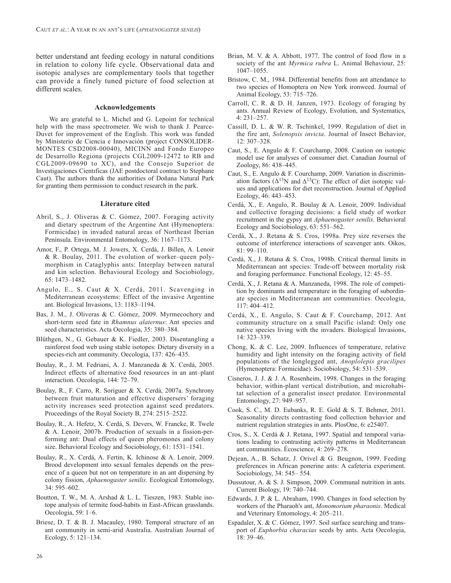better understand ant feeding ecology in natural conditions in relation to colony life cycle. Observational data and isotopic analyses are complementary tools that together can provide a finely tuned picture of food selection at different scales.

#### **Acknowledgements**

We are grateful to L. Michel and G. Lepoint for technical help with the mass spectrometer. We wish to thank J. Pearce-Duvet for improvement of the English. This work was funded by Ministerio de Ciencia e Innovación (project CONSOLIDER-MONTES CSD2008-00040), MICINN and Fondo Europeo de Desarrollo Regiona (projects CGL2009-12472 to RB and CGL2009-09690 to XC), and the Consejo Superior de Investigaciones Cientıficas (JAE postdoctoral contract to Stephane Caut). The authors thank the authorities of Doñana Natural Park for granting them permission to conduct research in the park.

#### **Literature cited**

- Abril, S., J. Oliveras & C. Gómez, 2007. Foraging activity and dietary spectrum of the Argentine Ant (Hymenoptera: Formicidae) in invaded natural areas of Northeast Iberian Península. Environmental Entomology, 36: 1167–1173.
- Amor, F., P. Ortega, M. J. Jowers, X. Cerdá, J. Billen, A. Lenoir & R. Boulay, 2011. The evolution of worker–queen polymorphism in Cataglyphis ants: Interplay between natural and kin selection. Behavioural Ecology and Sociobiology, 65: 1473–1482.
- Angulo, E., S. Caut & X. Cerdá, 2011. Scavenging in Mediterranean ecosystems: Effect of the invasive Argentine ant. Biological Invasions, 13: 1183–1194.
- Bas, J. M., J. Oliveras & C. Gómez, 2009. Myrmecochory and short-term seed fate in *Rhamnus alaternus*: Ant species and seed characteristics. Acta Oecologia, 35: 380–384.
- Blüthgen, N., G. Gebauer & K. Fiedler, 2003. Disentangling a rainforest food web using stable isotopes: Dietary diversity in a species-rich ant community. Oecologia, 137: 426–435.
- Boulay, R., J. M. Fedriani, A. J. Manzaneda & X. Cerdá, 2005. Indirect effects of alternative food resources in an ant–plant interaction. Oecologia, 144: 72–79.
- Boulay, R., F. Carro, R. Soriguer & X. Cerdá, 2007a. Synchrony between fruit maturation and effective dispersers' foraging activity increases seed protection against seed predators. Proceedings of the Royal Society B, 274: 2515–2522.
- Boulay, R., A. Hefetz, X. Cerdá, S. Devers, W. Francke, R. Twele & A. Lenoir, 2007b. Production of sexuals in a fission-performing ant: Dual effects of queen pheromones and colony size. Behavioral Ecology and Sociobiology, 61: 1531–1541.
- Boulay, R., X. Cerdá, A. Fertin, K. Ichinose & A. Lenoir, 2009. Brood development into sexual females depends on the presence of a queen but not on temperature in an ant dispersing by colony fission, *Aphaenogaster senilis*. Ecological Entomology, 34: 595–602.
- Boutton, T. W., M. A. Arshad & L. L. Tieszen, 1983. Stable isotope analysis of termite food-habits in East-African grasslands. Oecologia, 59: 1–6.
- Briese, D. T. & B. J. Macauley, 1980. Temporal structure of an ant community in semi-arid Australia. Australian Journal of Ecology, 5: 121–134.
- Brian, M. V. & A. Abbott, 1977. The control of food flow in a society of the ant *Myrmica rubra* L. Animal Behaviour, 25: 1047–1055.
- Bristow, C. M., 1984. Differential benefits from ant attendance to two species of Homoptera on New York ironweed. Journal of Animal Ecology, 53: 715–726.
- Carroll, C. R. & D. H. Janzen, 1973. Ecology of foraging by ants. Annual Review of Ecology, Evolution, and Systematics, 4: 231–257.
- Cassill, D. L. & W. R. Tschinkel, 1999. Regulation of diet in the fire ant, *Solenopsis invicta*. Journal of Insect Behavior, 12: 307–328.
- Caut, S., E. Angulo & F. Courchamp, 2008. Caution on isotopic model use for analyses of consumer diet. Canadian Journal of Zoology, 86: 438–445.
- Caut, S., E. Angulo & F. Courchamp, 2009. Variation in discrimination factors ( $\Delta^{15}N$  and  $\Delta^{13}C$ ): The effect of diet isotopic values and applications for diet reconstruction. Journal of Applied Ecology, 46: 443–453.
- Cerdá, X., E. Angulo, R. Boulay & A. Lenoir, 2009. Individual and collective foraging decisions: a field study of worker recruitment in the gypsy ant *Aphaenogaster senilis*. Behavioral Ecology and Sociobiology, 63: 551–562.
- Cerdá, X., J. Retana & S. Cros, 1998a. Prey size reverses the outcome of interference interactions of scavenger ants. Oikos, 81: 99–110.
- Cerdá, X., J. Retana & S. Cros, 1998b. Critical thermal limits in Mediterranean ant species: Trade-off between mortality risk and foraging performance. Functional Ecology, 12: 45–55.
- Cerdá, X., J. Retana & A. Manzaneda, 1998. The role of competition by dominants and temperature in the foraging of subordinate species in Mediterranean ant communities. Oecologia, 117: 404–412.
- Cerdá, X., E. Angulo, S. Caut & F. Courchamp, 2012. Ant community structure on a small Pacific island: Only one native species living with the invaders. Biological Invasions, 14: 323–339.
- Chong, K. & C. Lee, 2009. Influences of temperature, relative humidity and light intensity on the foraging activity of field populations of the longlegged ant, *Anoplolepis gracilipes*  (Hymenoptera: Formicidae). Sociobiology, 54: 531–539.
- Cisneros, J. J. & J. A. Rosenheim, 1998. Changes in the foraging behavior, within-plant vertical distribution, and microhabitat selection of a generalist insect predator. Environmental Entomology, 27: 949–957.
- Cook, S. C., M. D. Eubanks, R. E. Gold & S. T. Behmer, 2011. Seasonality directs contrasting food collection behavior and nutrient regulation strategies in ants. PlosOne, 6: e25407.
- Cros, S., X. Cerdá & J. Retana, 1997. Spatial and temporal variations leading to contrasting activity patterns in Mediterranean ant communities. Écoscience, 4: 269–278.
- Dejean, A., B. Schatz, J. Orivel & G. Beugnon, 1999. Feeding preferences in African ponerine ants: A cafeteria experiment. Sociobiology, 34: 545– 554.
- Dussutour, A. & S. J. Simpson, 2009. Communal nutrition in ants. Current Biology, 19: 740–744.
- Edwards, J. P. & L. Abraham, 1990. Changes in food selection by workers of the Pharaoh's ant, *Monomorium pharaonis*. Medical and Veterinary Entomology, 4: 205–211.
- Espadaler, X. & C. Gómez, 1997. Soil surface searching and transport of *Euphorbia characias* seeds by ants. Acta Oecologia, 18: 39–46.